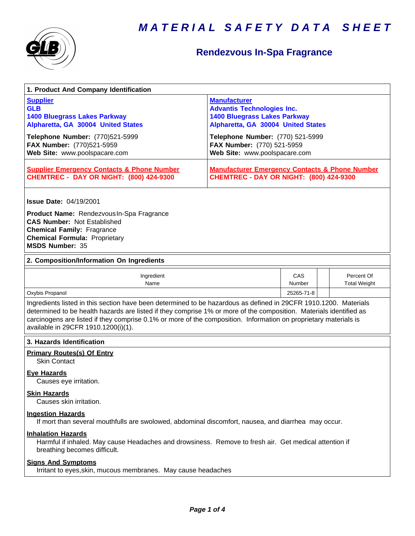



## **Rendezvous In-Spa Fragrance**

| 1. Product And Company Identification                                                                                                                                                                                                                                                                                                                                                             |                                                                                                                                                                                                         |               |                                   |  |  |
|---------------------------------------------------------------------------------------------------------------------------------------------------------------------------------------------------------------------------------------------------------------------------------------------------------------------------------------------------------------------------------------------------|---------------------------------------------------------------------------------------------------------------------------------------------------------------------------------------------------------|---------------|-----------------------------------|--|--|
| <b>Supplier</b><br><b>GLB</b><br><b>1400 Bluegrass Lakes Parkway</b><br>Alpharetta, GA 30004 United States<br>Telephone Number: (770)521-5999<br>FAX Number: (770)521-5959                                                                                                                                                                                                                        | <b>Manufacturer</b><br><b>Advantis Technologies Inc.</b><br><b>1400 Bluegrass Lakes Parkway</b><br>Alpharetta, GA 30004 United States<br>Telephone Number: (770) 521-5999<br>FAX Number: (770) 521-5959 |               |                                   |  |  |
| Web Site: www.poolspacare.com                                                                                                                                                                                                                                                                                                                                                                     | Web Site: www.poolspacare.com                                                                                                                                                                           |               |                                   |  |  |
| <b>Supplier Emergency Contacts &amp; Phone Number</b><br><b>CHEMTREC - DAY OR NIGHT: (800) 424-9300</b>                                                                                                                                                                                                                                                                                           | <b>Manufacturer Emergency Contacts &amp; Phone Number</b><br><b>CHEMTREC - DAY OR NIGHT: (800) 424-9300</b>                                                                                             |               |                                   |  |  |
| <b>Issue Date: 04/19/2001</b>                                                                                                                                                                                                                                                                                                                                                                     |                                                                                                                                                                                                         |               |                                   |  |  |
| Product Name: Rendezvous In-Spa Fragrance<br><b>CAS Number: Not Established</b><br><b>Chemical Family: Fragrance</b><br><b>Chemical Formula: Proprietary</b><br><b>MSDS Number: 35</b>                                                                                                                                                                                                            |                                                                                                                                                                                                         |               |                                   |  |  |
| 2. Composition/Information On Ingredients                                                                                                                                                                                                                                                                                                                                                         |                                                                                                                                                                                                         |               |                                   |  |  |
| Ingredient<br>Name                                                                                                                                                                                                                                                                                                                                                                                |                                                                                                                                                                                                         | CAS<br>Number | Percent Of<br><b>Total Weight</b> |  |  |
| Oxybis Propanol                                                                                                                                                                                                                                                                                                                                                                                   |                                                                                                                                                                                                         | 25265-71-8    |                                   |  |  |
| Ingredients listed in this section have been determined to be hazardous as defined in 29CFR 1910.1200. Materials<br>determined to be health hazards are listed if they comprise 1% or more of the composition. Materials identified as<br>carcinogens are listed if they comprise 0.1% or more of the composition. Information on proprietary materials is<br>available in 29CFR 1910.1200(i)(1). |                                                                                                                                                                                                         |               |                                   |  |  |
| 3. Hazards Identification                                                                                                                                                                                                                                                                                                                                                                         |                                                                                                                                                                                                         |               |                                   |  |  |
| <b>Primary Routes(s) Of Entry</b><br><b>Skin Contact</b>                                                                                                                                                                                                                                                                                                                                          |                                                                                                                                                                                                         |               |                                   |  |  |
| <b>Eye Hazards</b><br>Causes eye irritation.                                                                                                                                                                                                                                                                                                                                                      |                                                                                                                                                                                                         |               |                                   |  |  |
| <b>Skin Hazards</b><br>Causes skin irritation.                                                                                                                                                                                                                                                                                                                                                    |                                                                                                                                                                                                         |               |                                   |  |  |
| <b>Ingestion Hazards</b><br>If mort than several mouthfulls are swolowed, abdominal discomfort, nausea, and diarrhea may occur.                                                                                                                                                                                                                                                                   |                                                                                                                                                                                                         |               |                                   |  |  |
| <b>Inhalation Hazards</b><br>Harmful if inhaled. May cause Headaches and drowsiness. Remove to fresh air. Get medical attention if<br>breathing becomes difficult.                                                                                                                                                                                                                                |                                                                                                                                                                                                         |               |                                   |  |  |
| <b>Signs And Symptoms</b><br>Irritant to eyes, skin, mucous membranes. May cause headaches                                                                                                                                                                                                                                                                                                        |                                                                                                                                                                                                         |               |                                   |  |  |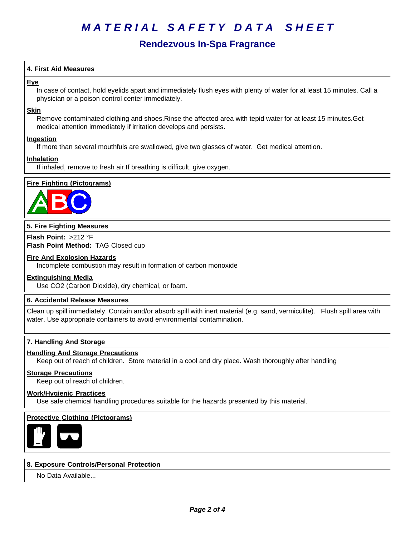# *MATERIAL SAFETY DATA SHEET*

### **Rendezvous In-Spa Fragrance**

#### **4. First Aid Measures**

#### **Eye**

In case of contact, hold eyelids apart and immediately flush eyes with plenty of water for at least 15 minutes. Call a physician or a poison control center immediately.

#### **Skin**

Remove contaminated clothing and shoes.Rinse the affected area with tepid water for at least 15 minutes.Get medical attention immediately if irritation develops and persists.

#### **Ingestion**

If more than several mouthfuls are swallowed, give two glasses of water. Get medical attention.

#### **Inhalation**

If inhaled, remove to fresh air.If breathing is difficult, give oxygen.

#### **Fire Fighting (Pictograms)**



#### **5. Fire Fighting Measures**

**Flash Point:** >212°F **Flash Point Method:** TAG Closed cup

#### **Fire And Explosion Hazards**

Incomplete combustion may result in formation of carbon monoxide

#### **Extinguishing Media**

Use CO2 (Carbon Dioxide), dry chemical, or foam.

#### **6.Accidental ReleaseMeasures**

Clean up spill immediately. Contain and/or absorb spill with inert material (e.g. sand, vermiculite). Flush spill area with water. Use appropriate containers to avoid environmental contamination.

#### **7. Handling And Storage**

#### **Handling And Storage Precautions**

Keep out of reach of children. Store material in a cool and dry place. Wash thoroughly after handling

#### **Storage Precautions**

Keep out of reach of children.

#### **Work/Hygienic Practices**

Use safe chemical handling procedures suitable for the hazards presented by this material.

#### **Protective Clothing (Pictograms)**



#### **8. Exposure Controls/Personal Protection**

No Data Available...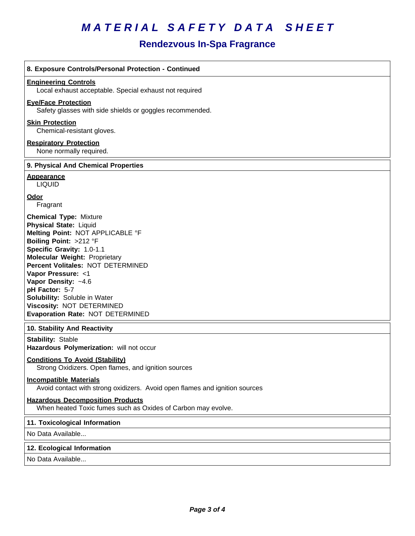# *MATERIAL SAFETY DATA SHEET*

### **Rendezvous In-Spa Fragrance**

| 8. Exposure Controls/Personal Protection - Continued                                                                                                                                                                                                                                                                                                                                                   |
|--------------------------------------------------------------------------------------------------------------------------------------------------------------------------------------------------------------------------------------------------------------------------------------------------------------------------------------------------------------------------------------------------------|
| <b>Engineering Controls</b><br>Local exhaust acceptable. Special exhaust not required                                                                                                                                                                                                                                                                                                                  |
| <b>Eve/Face Protection</b><br>Safety glasses with side shields or goggles recommended.                                                                                                                                                                                                                                                                                                                 |
| <b>Skin Protection</b><br>Chemical-resistant gloves.                                                                                                                                                                                                                                                                                                                                                   |
| <b>Respiratory Protection</b><br>None normally required.                                                                                                                                                                                                                                                                                                                                               |
| 9. Physical And Chemical Properties                                                                                                                                                                                                                                                                                                                                                                    |
| <b>Appearance</b><br><b>LIQUID</b>                                                                                                                                                                                                                                                                                                                                                                     |
| Odor<br>Fragrant                                                                                                                                                                                                                                                                                                                                                                                       |
| <b>Chemical Type: Mixture</b><br><b>Physical State: Liquid</b><br>Melting Point: NOT APPLICABLE °F<br>Boiling Point: >212 °F<br>Specific Gravity: 1.0-1.1<br><b>Molecular Weight: Proprietary</b><br>Percent Volitales: NOT DETERMINED<br>Vapor Pressure: <1<br>Vapor Density: ~4.6<br>pH Factor: 5-7<br>Solubility: Soluble in Water<br>Viscosity: NOT DETERMINED<br>Evaporation Rate: NOT DETERMINED |
| 10. Stability And Reactivity                                                                                                                                                                                                                                                                                                                                                                           |
| <b>Stability: Stable</b><br>Hazardous Polymerization: will not occur                                                                                                                                                                                                                                                                                                                                   |
| <b>Conditions To Avoid (Stability)</b><br>Strong Oxidizers. Open flames, and ignition sources                                                                                                                                                                                                                                                                                                          |
| <b>Incompatible Materials</b><br>Avoid contact with strong oxidizers. Avoid open flames and ignition sources                                                                                                                                                                                                                                                                                           |
| <b>Hazardous Decomposition Products</b><br>When heated Toxic fumes such as Oxides of Carbon may evolve.                                                                                                                                                                                                                                                                                                |
| 11. Toxicological Information                                                                                                                                                                                                                                                                                                                                                                          |
| No Data Available                                                                                                                                                                                                                                                                                                                                                                                      |
|                                                                                                                                                                                                                                                                                                                                                                                                        |

#### **12. Ecological Information**

No Data Available...